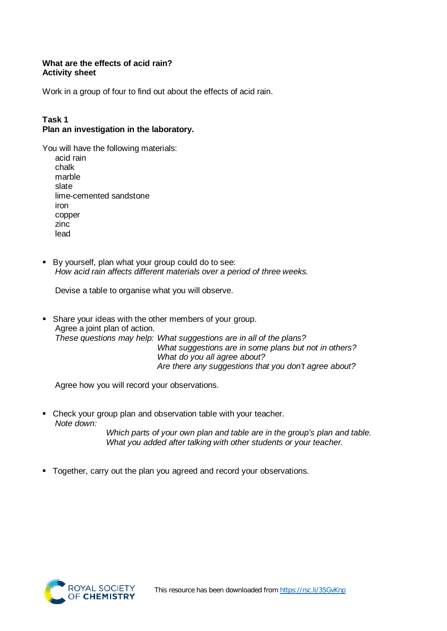#### **What are the effects of acid rain? Activity sheet**

Work in a group of four to find out about the effects of acid rain.

# **Task 1**

### **Plan an investigation in the laboratory.**

| You will have the following materials: |
|----------------------------------------|
| acid rain                              |
| chalk                                  |
| marble                                 |
| slate                                  |
| lime-cemented sandstone                |
| iron                                   |
| copper                                 |
| zinc                                   |
| lead                                   |

 By yourself, plan what your group could do to see: *How acid rain affects different materials over a period of three weeks.*

Devise a table to organise what you will observe.

**Share your ideas with the other members of your group.** Agree a joint plan of action. *These questions may help: What suggestions are in all of the plans? What suggestions are in some plans but not in others? What do you all agree about? Are there any suggestions that you don't agree about?*

Agree how you will record your observations.

• Check your group plan and observation table with your teacher. *Note down:*

*Which parts of your own plan and table are in the group's plan and table. What you added after talking with other students or your teacher.*

**Together, carry out the plan you agreed and record your observations.** 

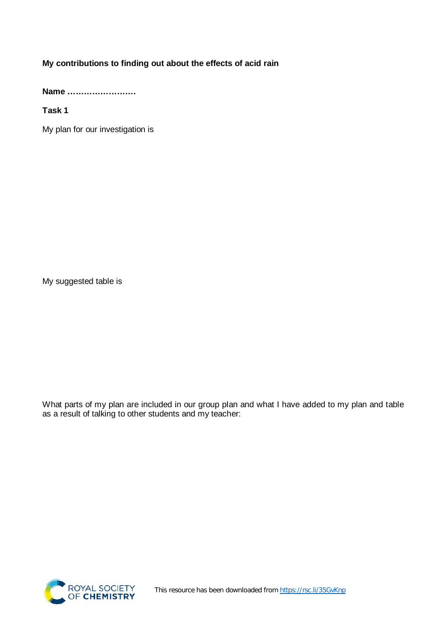## **My contributions to finding out about the effects of acid rain**

**Name …………………….**

**Task 1**

My plan for our investigation is

My suggested table is

What parts of my plan are included in our group plan and what I have added to my plan and table as a result of talking to other students and my teacher: